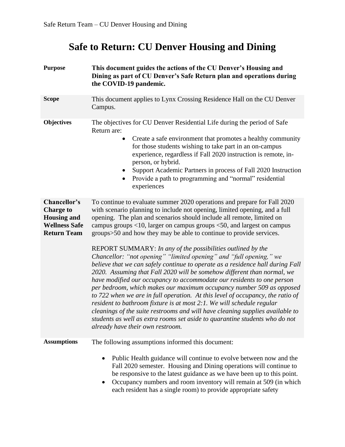# **Safe to Return: CU Denver Housing and Dining**

| <b>Purpose</b>                                                                                       | This document guides the actions of the CU Denver's Housing and<br>Dining as part of CU Denver's Safe Return plan and operations during<br>the COVID-19 pandemic.                                                                                                                                                                                                                                                                                                                                                                                                                                                                                                                                                                                                                                                                                                                                                                                                                                                                                                                                                                                                                                        |  |
|------------------------------------------------------------------------------------------------------|----------------------------------------------------------------------------------------------------------------------------------------------------------------------------------------------------------------------------------------------------------------------------------------------------------------------------------------------------------------------------------------------------------------------------------------------------------------------------------------------------------------------------------------------------------------------------------------------------------------------------------------------------------------------------------------------------------------------------------------------------------------------------------------------------------------------------------------------------------------------------------------------------------------------------------------------------------------------------------------------------------------------------------------------------------------------------------------------------------------------------------------------------------------------------------------------------------|--|
| <b>Scope</b>                                                                                         | This document applies to Lynx Crossing Residence Hall on the CU Denver<br>Campus.                                                                                                                                                                                                                                                                                                                                                                                                                                                                                                                                                                                                                                                                                                                                                                                                                                                                                                                                                                                                                                                                                                                        |  |
| <b>Objectives</b>                                                                                    | The objectives for CU Denver Residential Life during the period of Safe<br>Return are:<br>Create a safe environment that promotes a healthy community<br>$\bullet$<br>for those students wishing to take part in an on-campus<br>experience, regardless if Fall 2020 instruction is remote, in-<br>person, or hybrid.<br>Support Academic Partners in process of Fall 2020 Instruction<br>Provide a path to programming and "normal" residential<br>experiences                                                                                                                                                                                                                                                                                                                                                                                                                                                                                                                                                                                                                                                                                                                                          |  |
| Chancellor's<br><b>Charge to</b><br><b>Housing and</b><br><b>Wellness Safe</b><br><b>Return Team</b> | To continue to evaluate summer 2020 operations and prepare for Fall 2020<br>with scenario planning to include not opening, limited opening, and a full<br>opening. The plan and scenarios should include all remote, limited on<br>campus groups $<$ 10, larger on campus groups $<$ 50, and largest on campus<br>groups>50 and how they may be able to continue to provide services.<br>REPORT SUMMARY: In any of the possibilities outlined by the<br>Chancellor: "not opening" "limited opening" and "full opening," we<br>believe that we can safely continue to operate as a residence hall during Fall<br>2020. Assuming that Fall 2020 will be somehow different than normal, we<br>have modified our occupancy to accommodate our residents to one person<br>per bedroom, which makes our maximum occupancy number 509 as opposed<br>to 722 when we are in full operation. At this level of occupancy, the ratio of<br>resident to bathroom fixture is at most 2:1. We will schedule regular<br>cleanings of the suite restrooms and will have cleaning supplies available to<br>students as well as extra rooms set aside to quarantine students who do not<br>already have their own restroom. |  |
| <b>Assumptions</b>                                                                                   | The following assumptions informed this document:<br>Public Health guidance will continue to evolve between now and the<br>$\bullet$<br>Fall 2020 semester. Housing and Dining operations will continue to<br>be responsive to the latest guidance as we have been up to this point.<br>Occupancy numbers and room inventory will remain at 509 (in which<br>$\bullet$<br>each resident has a single room) to provide appropriate safety                                                                                                                                                                                                                                                                                                                                                                                                                                                                                                                                                                                                                                                                                                                                                                 |  |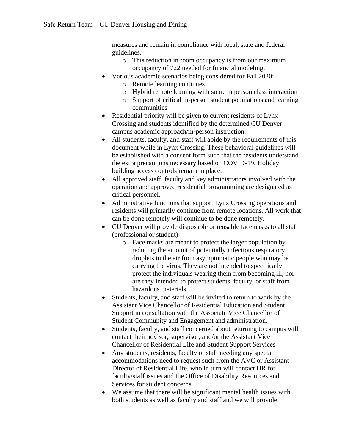measures and remain in compliance with local, state and federal guidelines.

- o This reduction in room occupancy is from our maximum occupancy of 722 needed for financial modeling.
- Various academic scenarios being considered for Fall 2020:
	- o Remote learning continues
	- o Hybrid remote learning with some in person class interaction
	- o Support of critical in-person student populations and learning communities
- Residential priority will be given to current residents of Lynx Crossing and students identified by the determined CU Denver campus academic approach/in-person instruction.
- All students, faculty, and staff will abide by the requirements of this document while in Lynx Crossing. These behavioral guidelines will be established with a consent form such that the residents understand the extra precautions necessary based on COVID-19. Holiday building access controls remain in place.
- All approved staff, faculty and key administrators involved with the operation and approved residential programming are designated as critical personnel.
- Administrative functions that support Lynx Crossing operations and residents will primarily continue from remote locations. All work that can be done remotely will continue to be done remotely.
- CU Denver will provide disposable or reusable facemasks to all staff (professional or student)
	- o Face masks are meant to protect the larger population by reducing the amount of potentially infectious respiratory droplets in the air from asymptomatic people who may be carrying the virus. They are not intended to specifically protect the individuals wearing them from becoming ill, nor are they intended to protect students, faculty, or staff from hazardous materials.
- Students, faculty, and staff will be invited to return to work by the Assistant Vice Chancellor of Residential Education and Student Support in consultation with the Associate Vice Chancellor of Student Community and Engagement and administration.
- Students, faculty, and staff concerned about returning to campus will contact their advisor, supervisor, and/or the Assistant Vice Chancellor of Residential Life and Student Support Services
- Any students, residents, faculty or staff needing any special accommodations need to request such from the AVC or Assistant Director of Residential Life, who in turn will contact HR for faculty/staff issues and the Office of Disability Resources and Services for student concerns.
- We assume that there will be significant mental health issues with both students as well as faculty and staff and we will provide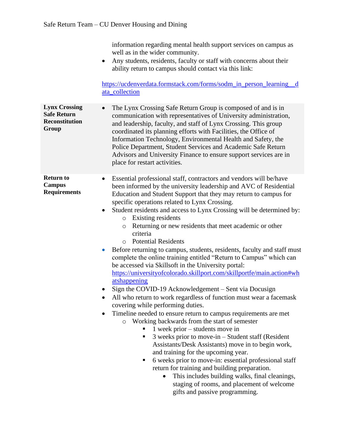information regarding mental health support services on campus as well as in the wider community.

• Any students, residents, faculty or staff with concerns about their ability return to campus should contact via this link:

[https://ucdenverdata.formstack.com/forms/sodm\\_in\\_person\\_learning\\_\\_d](https://ucdenverdata.formstack.com/forms/sodm_in_person_learning__data_collection) [ata\\_collection](https://ucdenverdata.formstack.com/forms/sodm_in_person_learning__data_collection)

**Lynx Crossing Safe Return Reconstitution Group** • The Lynx Crossing Safe Return Group is composed of and is in communication with representatives of University administration, and leadership, faculty, and staff of Lynx Crossing. This group coordinated its planning efforts with Facilities, the Office of Information Technology, Environmental Health and Safety, the Police Department, Student Services and Academic Safe Return Advisors and University Finance to ensure support services are in place for restart activities.

**Return to Campus Requirements** • Essential professional staff, contractors and vendors will be/have been informed by the university leadership and AVC of Residential Education and Student Support that they may return to campus for specific operations related to Lynx Crossing.

- Student residents and access to Lynx Crossing will be determined by:
	- o Existing residents
	- o Returning or new residents that meet academic or other criteria
	- o Potential Residents
- Before returning to campus, students, residents, faculty and staff must complete the online training entitled "Return to Campus" which can be accessed via Skillsoft in the University portal: [https://universityofcolorado.skillport.com/skillportfe/main.action#wh](https://universityofcolorado.skillport.com/skillportfe/main.action#whatshappening) [atshappening](https://universityofcolorado.skillport.com/skillportfe/main.action#whatshappening)
- Sign the COVID-19 Acknowledgement Sent via Docusign
- All who return to work regardless of function must wear a facemask covering while performing duties.
- Timeline needed to ensure return to campus requirements are met
	- o Working backwards from the start of semester
		- $\blacksquare$  1 week prior students move in
		- $\blacksquare$  3 weeks prior to move-in Student staff (Resident Assistants/Desk Assistants) move in to begin work, and training for the upcoming year.
		- 6 weeks prior to move-in: essential professional staff return for training and building preparation.
			- This includes building walks, final cleanings, staging of rooms, and placement of welcome gifts and passive programming.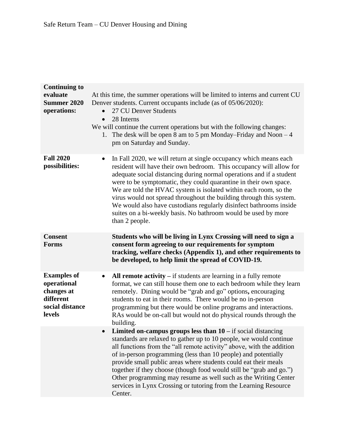| <b>Continuing to</b><br>evaluate<br><b>Summer 2020</b><br>operations:                     | At this time, the summer operations will be limited to interns and current CU<br>Denver students. Current occupants include (as of 05/06/2020):<br>27 CU Denver Students<br>28 Interns<br>$\bullet$<br>We will continue the current operations but with the following changes:<br>1. The desk will be open 8 am to 5 pm Monday–Friday and Noon $-4$<br>pm on Saturday and Sunday.                                                                                                                                                                                                                       |
|-------------------------------------------------------------------------------------------|---------------------------------------------------------------------------------------------------------------------------------------------------------------------------------------------------------------------------------------------------------------------------------------------------------------------------------------------------------------------------------------------------------------------------------------------------------------------------------------------------------------------------------------------------------------------------------------------------------|
| <b>Fall 2020</b><br>possibilities:                                                        | In Fall 2020, we will return at single occupancy which means each<br>$\bullet$<br>resident will have their own bedroom. This occupancy will allow for<br>adequate social distancing during normal operations and if a student<br>were to be symptomatic, they could quarantine in their own space.<br>We are told the HVAC system is isolated within each room, so the<br>virus would not spread throughout the building through this system.<br>We would also have custodians regularly disinfect bathrooms inside<br>suites on a bi-weekly basis. No bathroom would be used by more<br>than 2 people. |
| <b>Consent</b><br><b>Forms</b>                                                            | Students who will be living in Lynx Crossing will need to sign a<br>consent form agreeing to our requirements for symptom<br>tracking, welfare checks (Appendix 1), and other requirements to<br>be developed, to help limit the spread of COVID-19.                                                                                                                                                                                                                                                                                                                                                    |
| <b>Examples of</b><br>operational<br>changes at<br>different<br>social distance<br>levels | All remote activity $-$ if students are learning in a fully remote<br>format, we can still house them one to each bedroom while they learn<br>remotely. Dining would be "grab and go" options, encouraging<br>students to eat in their rooms. There would be no in-person<br>programming but there would be online programs and interactions.<br>RAs would be on-call but would not do physical rounds through the<br>building.                                                                                                                                                                         |
|                                                                                           | Limited on-campus groups less than $10 - if$ social distancing<br>$\bullet$<br>standards are relaxed to gather up to 10 people, we would continue<br>all functions from the "all remote activity" above, with the addition<br>of in-person programming (less than 10 people) and potentially<br>provide small public areas where students could eat their meals<br>together if they choose (though food would still be "grab and go.")<br>Other programming may resume as well such as the Writing Center<br>services in Lynx Crossing or tutoring from the Learning Resource<br>Center.                |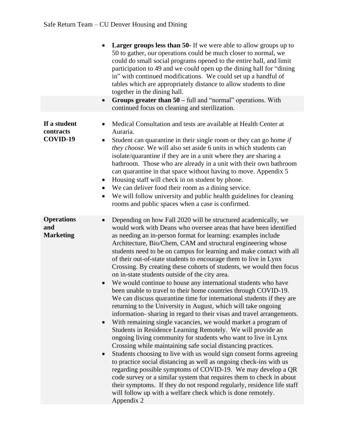|                                              | <b>Larger groups less than 50-</b> If we were able to allow groups up to<br>50 to gather, our operations could be much closer to normal, we<br>could do small social programs opened to the entire hall, and limit<br>participation to 49 and we could open up the dining hall for "dining"<br>in" with continued modifications. We could set up a handful of<br>tables which are appropriately distance to allow students to dine<br>together in the dining hall.                                                                                                                                                                                                                                                                                                                                                                                                                                                                                                                                                                                                                                                                                                                                                                                                                                                                                                                                                                                                                                                                                                                                                                          |
|----------------------------------------------|---------------------------------------------------------------------------------------------------------------------------------------------------------------------------------------------------------------------------------------------------------------------------------------------------------------------------------------------------------------------------------------------------------------------------------------------------------------------------------------------------------------------------------------------------------------------------------------------------------------------------------------------------------------------------------------------------------------------------------------------------------------------------------------------------------------------------------------------------------------------------------------------------------------------------------------------------------------------------------------------------------------------------------------------------------------------------------------------------------------------------------------------------------------------------------------------------------------------------------------------------------------------------------------------------------------------------------------------------------------------------------------------------------------------------------------------------------------------------------------------------------------------------------------------------------------------------------------------------------------------------------------------|
|                                              | Groups greater than $50 - \text{full}$ and "normal" operations. With<br>$\bullet$<br>continued focus on cleaning and sterilization.                                                                                                                                                                                                                                                                                                                                                                                                                                                                                                                                                                                                                                                                                                                                                                                                                                                                                                                                                                                                                                                                                                                                                                                                                                                                                                                                                                                                                                                                                                         |
| If a student<br>contracts<br>COVID-19        | Medical Consultation and tests are available at Health Center at<br>Auraria.<br>Student can quarantine in their single room or they can go home if<br>$\bullet$<br>they choose. We will also set aside 6 units in which students can<br>isolate/quarantine if they are in a unit where they are sharing a<br>bathroom. Those who are already in a unit with their own bathroom<br>can quarantine in that space without having to move. Appendix 5<br>Housing staff will check in on student by phone.<br>$\bullet$<br>We can deliver food their room as a dining service.<br>We will follow university and public health guidelines for cleaning<br>$\bullet$<br>rooms and public spaces when a case is confirmed.                                                                                                                                                                                                                                                                                                                                                                                                                                                                                                                                                                                                                                                                                                                                                                                                                                                                                                                          |
| <b>Operations</b><br>and<br><b>Marketing</b> | Depending on how Fall 2020 will be structured academically, we<br>$\bullet$<br>would work with Deans who oversee areas that have been identified<br>as needing an in-person format for learning: examples include<br>Architecture, Bio/Chem, CAM and structural engineering whose<br>students need to be on campus for learning and make contact with all<br>of their out-of-state students to encourage them to live in Lynx<br>Crossing. By creating these cohorts of students, we would then focus<br>on in-state students outside of the city area.<br>We would continue to house any international students who have<br>been unable to travel to their home countries through COVID-19.<br>We can discuss quarantine time for international students if they are<br>returning to the University in August, which will take ongoing<br>information-sharing in regard to their visas and travel arrangements.<br>With remaining single vacancies, we would market a program of<br>Students in Residence Learning Remotely. We will provide an<br>ongoing living community for students who want to live in Lynx<br>Crossing while maintaining safe social distancing practices.<br>Students choosing to live with us would sign consent forms agreeing<br>$\bullet$<br>to practice social distancing as well as ongoing check-ins with us<br>regarding possible symptoms of COVID-19. We may develop a QR<br>code survey or a similar system that requires them to check in about<br>their symptoms. If they do not respond regularly, residence life staff<br>will follow up with a welfare check which is done remotely.<br>Appendix 2 |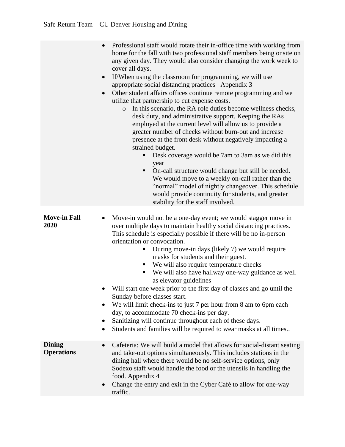|                                    | Professional staff would rotate their in-office time with working from<br>$\bullet$<br>home for the fall with two professional staff members being onsite on<br>any given day. They would also consider changing the work week to<br>cover all days.<br>If/When using the classroom for programming, we will use<br>$\bullet$<br>appropriate social distancing practices-Appendix 3<br>Other student affairs offices continue remote programming and we<br>$\bullet$<br>utilize that partnership to cut expense costs.<br>In this scenario, the RA role duties become wellness checks,<br>$\circ$<br>desk duty, and administrative support. Keeping the RAs<br>employed at the current level will allow us to provide a<br>greater number of checks without burn-out and increase<br>presence at the front desk without negatively impacting a<br>strained budget.<br>Desk coverage would be 7am to 3am as we did this<br>year<br>On-call structure would change but still be needed.<br>$\blacksquare$<br>We would move to a weekly on-call rather than the<br>"normal" model of nightly changeover. This schedule<br>would provide continuity for students, and greater<br>stability for the staff involved. |
|------------------------------------|----------------------------------------------------------------------------------------------------------------------------------------------------------------------------------------------------------------------------------------------------------------------------------------------------------------------------------------------------------------------------------------------------------------------------------------------------------------------------------------------------------------------------------------------------------------------------------------------------------------------------------------------------------------------------------------------------------------------------------------------------------------------------------------------------------------------------------------------------------------------------------------------------------------------------------------------------------------------------------------------------------------------------------------------------------------------------------------------------------------------------------------------------------------------------------------------------------------|
| <b>Move-in Fall</b><br>2020        | Move-in would not be a one-day event; we would stagger move in<br>$\bullet$<br>over multiple days to maintain healthy social distancing practices.<br>This schedule is especially possible if there will be no in-person<br>orientation or convocation.<br>During move-in days (likely 7) we would require<br>п<br>masks for students and their guest.<br>We will also require temperature checks<br>We will also have hallway one-way guidance as well<br>п<br>as elevator guidelines<br>Will start one week prior to the first day of classes and go until the<br>$\bullet$<br>Sunday before classes start.<br>We will limit check-ins to just 7 per hour from 8 am to 6pm each<br>day, to accommodate 70 check-ins per day.<br>Sanitizing will continue throughout each of these days.<br>Students and families will be required to wear masks at all times                                                                                                                                                                                                                                                                                                                                                 |
| <b>Dining</b><br><b>Operations</b> | Cafeteria: We will build a model that allows for social-distant seating<br>and take-out options simultaneously. This includes stations in the<br>dining hall where there would be no self-service options, only<br>Sodexo staff would handle the food or the utensils in handling the<br>food. Appendix 4<br>Change the entry and exit in the Cyber Café to allow for one-way<br>traffic.                                                                                                                                                                                                                                                                                                                                                                                                                                                                                                                                                                                                                                                                                                                                                                                                                      |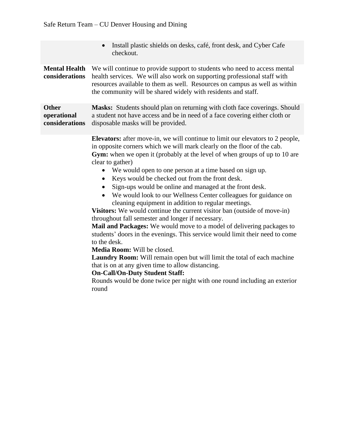|                                               | Install plastic shields on desks, café, front desk, and Cyber Cafe<br>checkout.                                                                                                                                                                                                                                                                                                                                                                                                                                                                                                                                                                                                                                                                                                                                                                                                                                                                                                                                                                                                                                                                                                                  |  |  |
|-----------------------------------------------|--------------------------------------------------------------------------------------------------------------------------------------------------------------------------------------------------------------------------------------------------------------------------------------------------------------------------------------------------------------------------------------------------------------------------------------------------------------------------------------------------------------------------------------------------------------------------------------------------------------------------------------------------------------------------------------------------------------------------------------------------------------------------------------------------------------------------------------------------------------------------------------------------------------------------------------------------------------------------------------------------------------------------------------------------------------------------------------------------------------------------------------------------------------------------------------------------|--|--|
| <b>Mental Health</b><br>considerations        | We will continue to provide support to students who need to access mental<br>health services. We will also work on supporting professional staff with<br>resources available to them as well. Resources on campus as well as within<br>the community will be shared widely with residents and staff.                                                                                                                                                                                                                                                                                                                                                                                                                                                                                                                                                                                                                                                                                                                                                                                                                                                                                             |  |  |
| <b>Other</b><br>operational<br>considerations | Masks: Students should plan on returning with cloth face coverings. Should<br>a student not have access and be in need of a face covering either cloth or<br>disposable masks will be provided.                                                                                                                                                                                                                                                                                                                                                                                                                                                                                                                                                                                                                                                                                                                                                                                                                                                                                                                                                                                                  |  |  |
|                                               | <b>Elevators:</b> after move-in, we will continue to limit our elevators to 2 people,<br>in opposite corners which we will mark clearly on the floor of the cab.<br><b>Gym:</b> when we open it (probably at the level of when groups of up to 10 are<br>clear to gather)<br>We would open to one person at a time based on sign up.<br>Keys would be checked out from the front desk.<br>$\bullet$<br>Sign-ups would be online and managed at the front desk.<br>We would look to our Wellness Center colleagues for guidance on<br>cleaning equipment in addition to regular meetings.<br>Visitors: We would continue the current visitor ban (outside of move-in)<br>throughout fall semester and longer if necessary.<br>Mail and Packages: We would move to a model of delivering packages to<br>students' doors in the evenings. This service would limit their need to come<br>to the desk.<br>Media Room: Will be closed.<br>Laundry Room: Will remain open but will limit the total of each machine<br>that is on at any given time to allow distancing.<br><b>On-Call/On-Duty Student Staff:</b><br>Rounds would be done twice per night with one round including an exterior<br>round |  |  |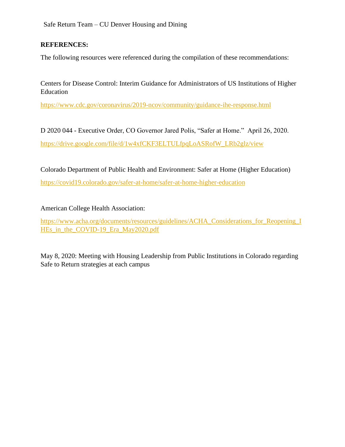Safe Return Team – CU Denver Housing and Dining

#### **REFERENCES:**

The following resources were referenced during the compilation of these recommendations:

Centers for Disease Control: Interim Guidance for Administrators of US Institutions of Higher Education

<https://www.cdc.gov/coronavirus/2019-ncov/community/guidance-ihe-response.html>

D 2020 044 - Executive Order, CO Governor Jared Polis, "Safer at Home." April 26, 2020. [https://drive.google.com/file/d/1w4xfCKF3ELTULfpqLoASRofW\\_LRb2glz/view](https://drive.google.com/file/d/1w4xfCKF3ELTULfpqLoASRofW_LRb2glz/view)

Colorado Department of Public Health and Environment: Safer at Home (Higher Education) <https://covid19.colorado.gov/safer-at-home/safer-at-home-higher-education>

American College Health Association:

[https://www.acha.org/documents/resources/guidelines/ACHA\\_Considerations\\_for\\_Reopening\\_I](https://www.acha.org/documents/resources/guidelines/ACHA_Considerations_for_Reopening_IHEs_in_the_COVID-19_Era_May2020.pdf) [HEs\\_in\\_the\\_COVID-19\\_Era\\_May2020.pdf](https://www.acha.org/documents/resources/guidelines/ACHA_Considerations_for_Reopening_IHEs_in_the_COVID-19_Era_May2020.pdf)

May 8, 2020: Meeting with Housing Leadership from Public Institutions in Colorado regarding Safe to Return strategies at each campus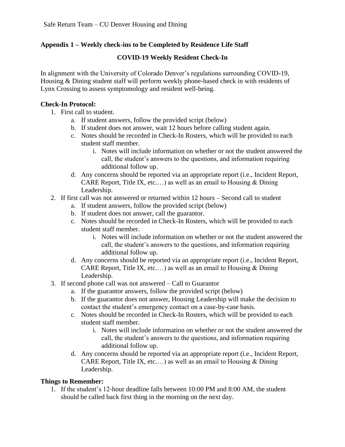## **Appendix 1 – Weekly check-ins to be Completed by Residence Life Staff**

## **COVID-19 Weekly Resident Check-In**

In alignment with the University of Colorado Denver's regulations surrounding COVID-19, Housing & Dining student staff will perform weekly phone-based check in with residents of Lynx Crossing to assess symptomology and resident well-being.

#### **Check-In Protocol:**

- 1. First call to student.
	- a. If student answers, follow the provided script (below)
	- b. If student does not answer, wait 12 hours before calling student again.
	- c. Notes should be recorded in Check-In Rosters, which will be provided to each student staff member.
		- i. Notes will include information on whether or not the student answered the call, the student's answers to the questions, and information requiring additional follow up.
	- d. Any concerns should be reported via an appropriate report (i.e., Incident Report, CARE Report, Title IX, etc....) as well as an email to Housing  $&$  Dining Leadership.
- 2. If first call was not answered or returned within 12 hours Second call to student
	- a. If student answers, follow the provided script (below)
	- b. If student does not answer, call the guarantor.
	- c. Notes should be recorded in Check-In Rosters, which will be provided to each student staff member.
		- i. Notes will include information on whether or not the student answered the call, the student's answers to the questions, and information requiring additional follow up.
	- d. Any concerns should be reported via an appropriate report (i.e., Incident Report, CARE Report, Title IX, etc....) as well as an email to Housing  $&$  Dining Leadership.
- 3. If second phone call was not answered Call to Guarantor
	- a. If the guarantor answers, follow the provided script (below)
	- b. If the guarantor does not answer, Housing Leadership will make the decision to contact the student's emergency contact on a case-by-case basis.
	- c. Notes should be recorded in Check-In Rosters, which will be provided to each student staff member.
		- i. Notes will include information on whether or not the student answered the call, the student's answers to the questions, and information requiring additional follow up.
	- d. Any concerns should be reported via an appropriate report (i.e., Incident Report, CARE Report, Title IX, etc....) as well as an email to Housing  $&$  Dining Leadership.

#### **Things to Remember:**

1. If the student's 12-hour deadline falls between 10:00 PM and 8:00 AM, the student should be called back first thing in the morning on the next day.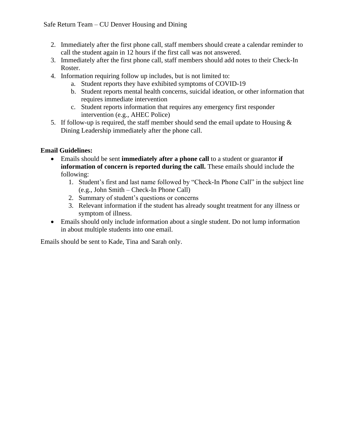- 2. Immediately after the first phone call, staff members should create a calendar reminder to call the student again in 12 hours if the first call was not answered.
- 3. Immediately after the first phone call, staff members should add notes to their Check-In Roster.
- 4. Information requiring follow up includes, but is not limited to:
	- a. Student reports they have exhibited symptoms of COVID-19
	- b. Student reports mental health concerns, suicidal ideation, or other information that requires immediate intervention
	- c. Student reports information that requires any emergency first responder intervention (e.g., AHEC Police)
- 5. If follow-up is required, the staff member should send the email update to Housing  $\&$ Dining Leadership immediately after the phone call.

## **Email Guidelines:**

- Emails should be sent **immediately after a phone call** to a student or guarantor **if information of concern is reported during the call.** These emails should include the following:
	- 1. Student's first and last name followed by "Check-In Phone Call" in the subject line (e.g., John Smith – Check-In Phone Call)
	- 2. Summary of student's questions or concerns
	- 3. Relevant information if the student has already sought treatment for any illness or symptom of illness.
- Emails should only include information about a single student. Do not lump information in about multiple students into one email.

Emails should be sent to Kade, Tina and Sarah only.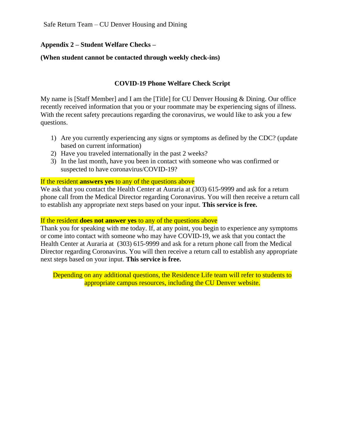## **Appendix 2 – Student Welfare Checks –**

#### **(When student cannot be contacted through weekly check-ins)**

#### **COVID-19 Phone Welfare Check Script**

My name is [Staff Member] and I am the [Title] for CU Denver Housing & Dining. Our office recently received information that you or your roommate may be experiencing signs of illness. With the recent safety precautions regarding the coronavirus, we would like to ask you a few questions.

- 1) Are you currently experiencing any signs or symptoms as defined by the CDC? (update based on current information)
- 2) Have you traveled internationally in the past 2 weeks?
- 3) In the last month, have you been in contact with someone who was confirmed or suspected to have coronavirus/COVID-19?

#### If the resident **answers yes** to any of the questions above

We ask that you contact the Health Center at Auraria at (303) 615-9999 and ask for a return phone call from the Medical Director regarding Coronavirus. You will then receive a return call to establish any appropriate next steps based on your input. **This service is free.** 

#### If the resident **does not answer yes** to any of the questions above

Thank you for speaking with me today. If, at any point, you begin to experience any symptoms or come into contact with someone who may have COVID-19, we ask that you contact the Health Center at Auraria at (303) 615-9999 and ask for a return phone call from the Medical Director regarding Coronavirus. You will then receive a return call to establish any appropriate next steps based on your input. **This service is free.**

Depending on any additional questions, the Residence Life team will refer to students to appropriate campus resources, including the CU Denver website.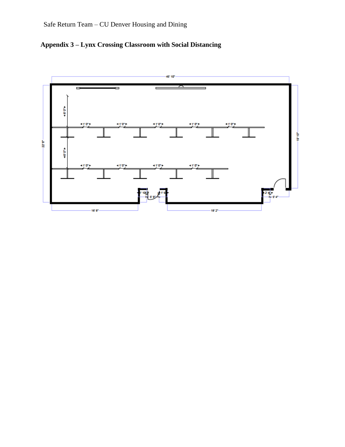

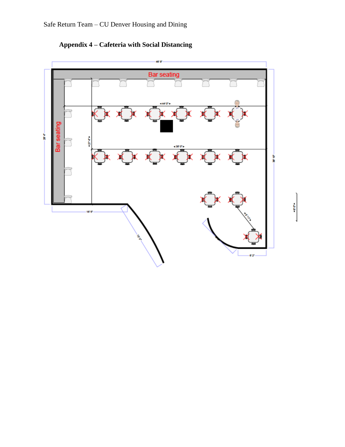



4804